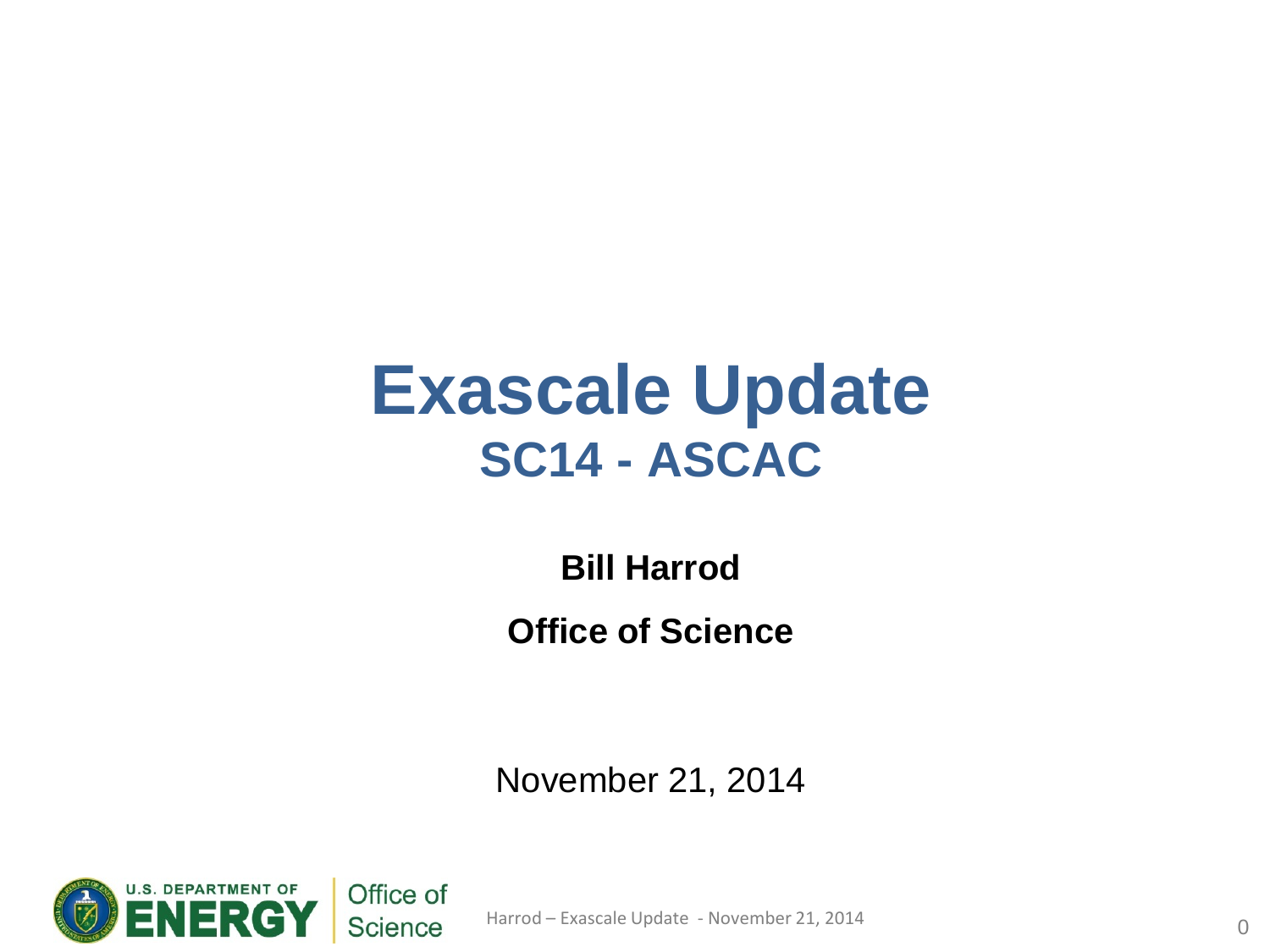## **Exascale Update SC14 - ASCAC**

**Bill Harrod Office of Science**

November 21, 2014



Harrod – Exascale Update - November 21, 2014 **0** 0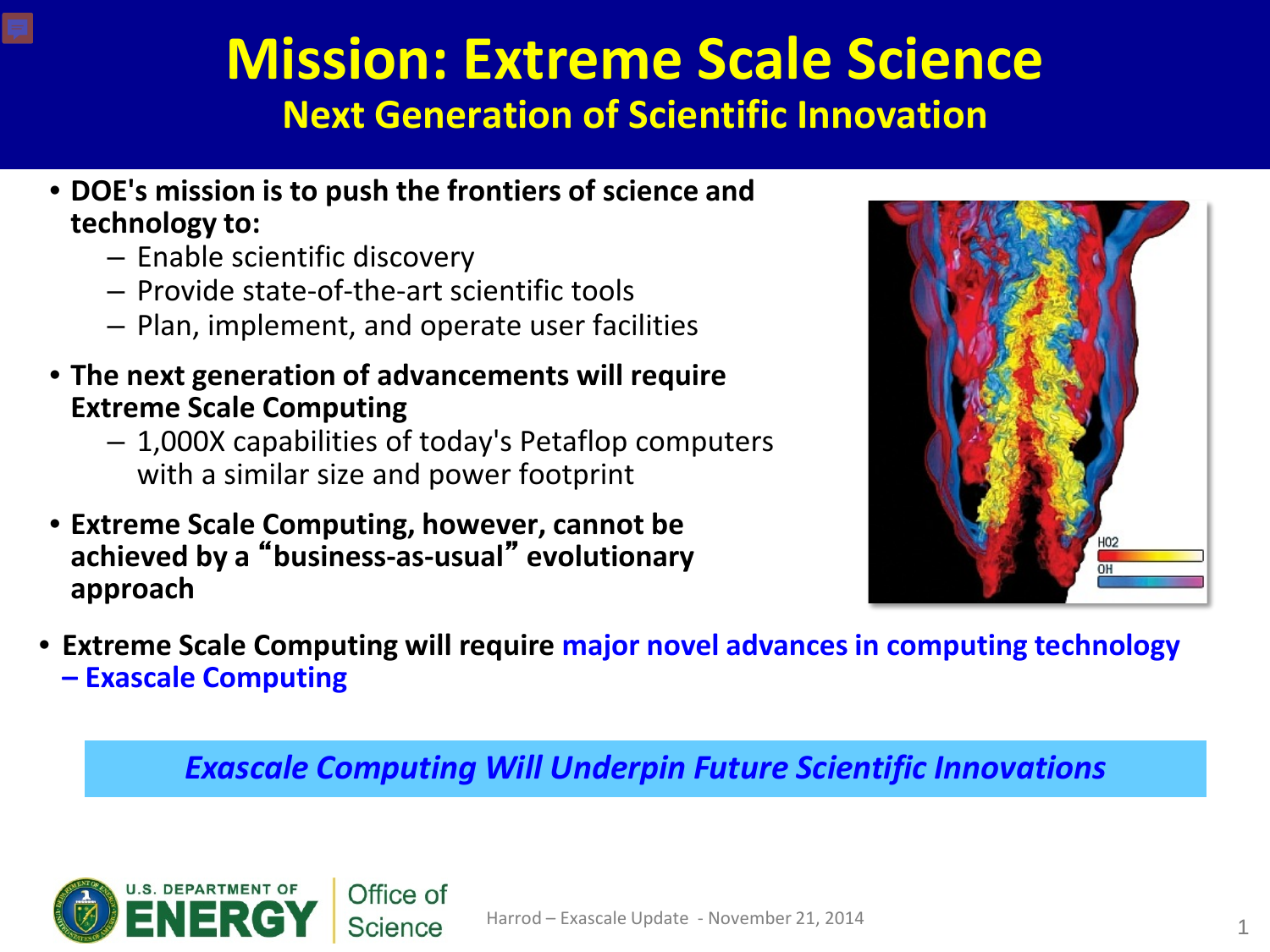## **Mission: Extreme Scale Science Next Generation of Scientific Innovation**

- **DOE's mission is to push the frontiers of science and technology to:**
	- Enable scientific discovery
	- Provide state-of-the-art scientific tools
	- Plan, implement, and operate user facilities
- **The next generation of advancements will require Extreme Scale Computing**
	- 1,000X capabilities of today's Petaflop computers with a similar size and power footprint
- **Extreme Scale Computing, however, cannot be achieved by a** "**business-as-usual**" **evolutionary approach**



• **Extreme Scale Computing will require major novel advances in computing technology – Exascale Computing**

*Exascale Computing Will Underpin Future Scientific Innovations*

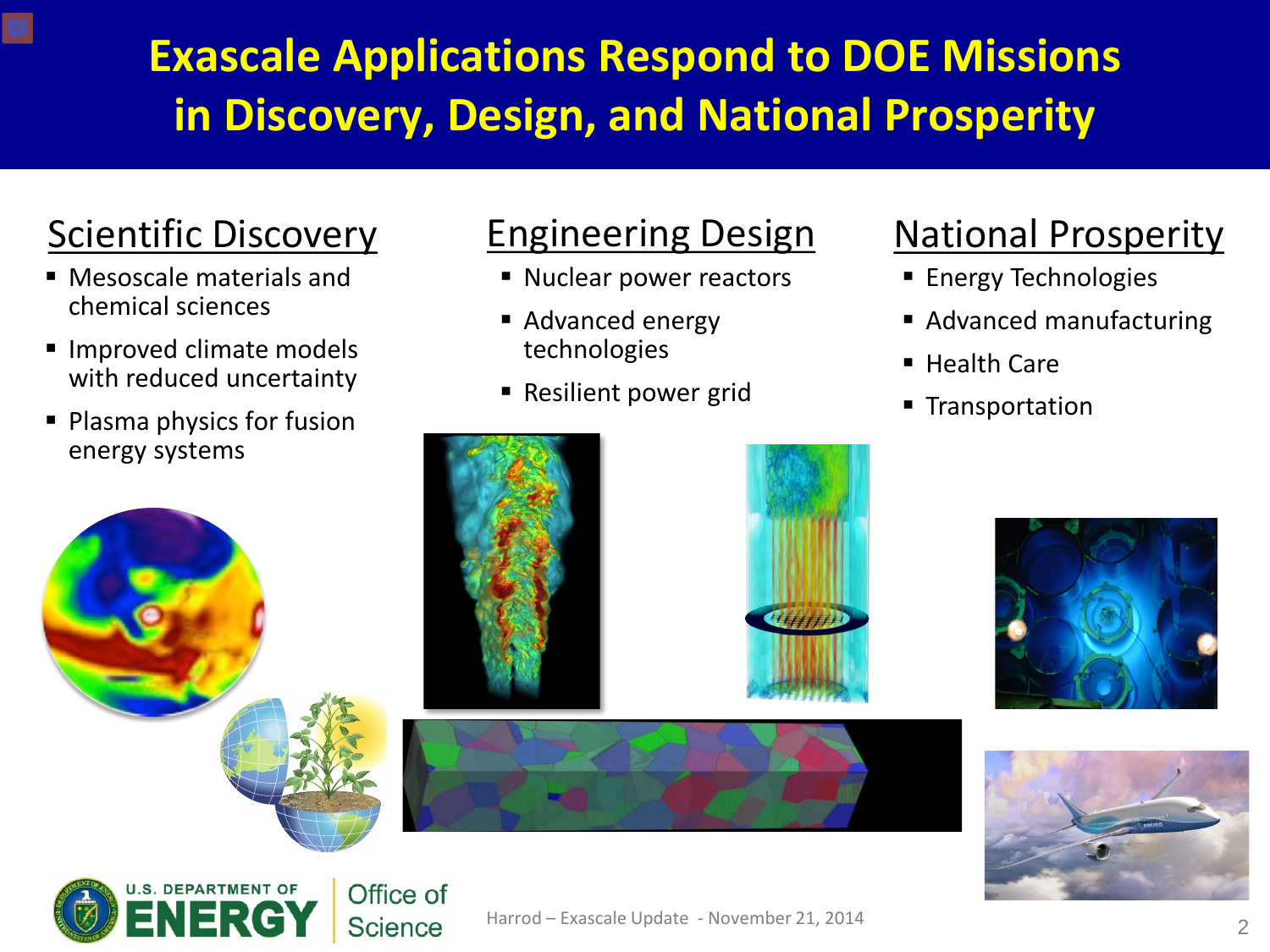## **Exascale Applications Respond to DOE Missions in Discovery, Design, and National Prosperity**

## Scientific Discovery

- Mesoscale materials and chemical sciences
- **Improved climate models** with reduced uncertainty
- Plasma physics for fusion energy systems

DEPARTMENT OF

Office of **Science** 

### Engineering Design

- Nuclear power reactors
- Advanced energy technologies
- Resilient power grid

### National Prosperity

- **Energy Technologies**
- Advanced manufacturing
- Health Care
- **Transportation**



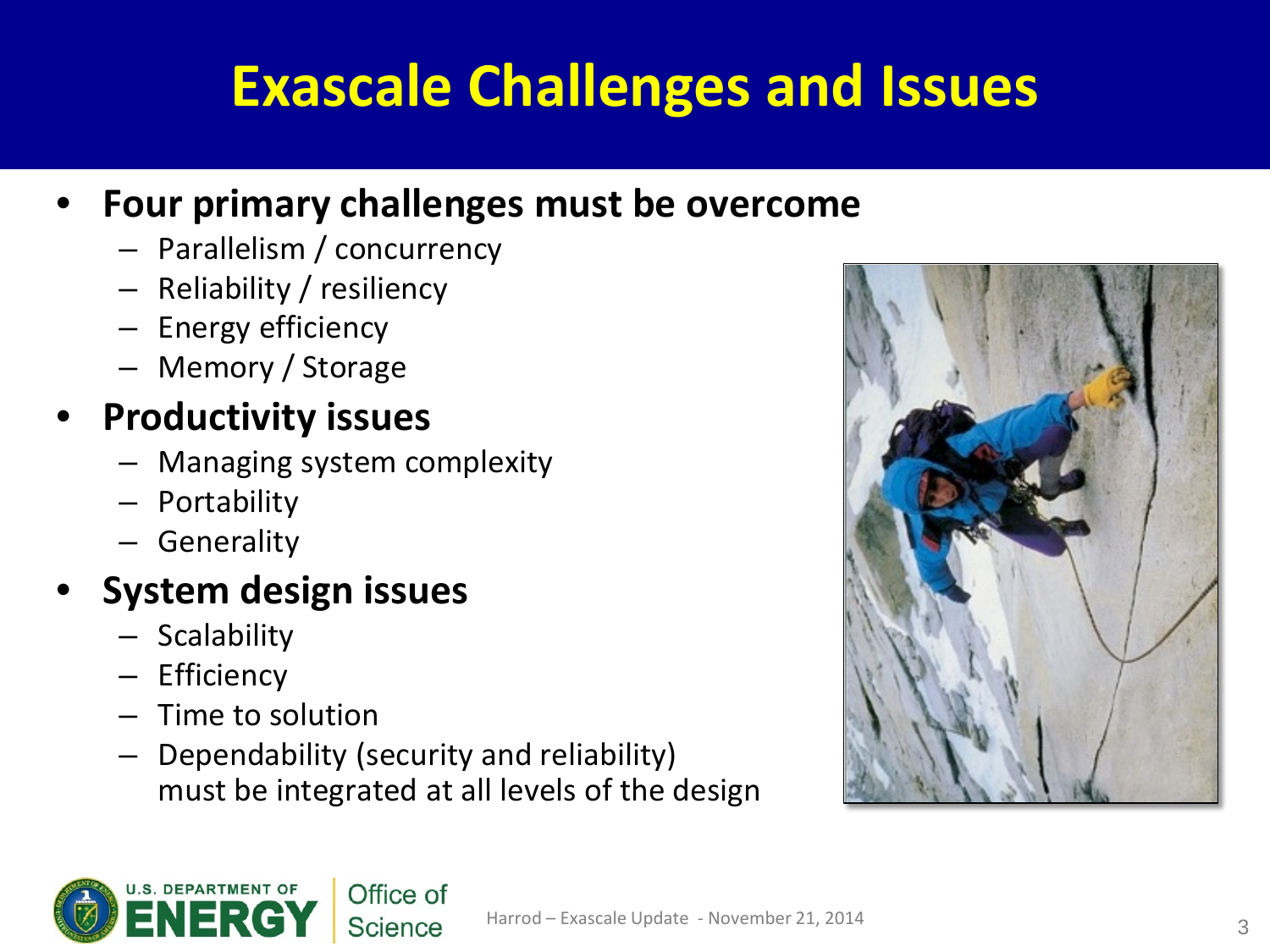# **Exascale Challenges and Issues**

### • **Four primary challenges must be overcome**

- Parallelism / concurrency
- Reliability / resiliency
- Energy efficiency
- Memory / Storage

### • **Productivity issues**

- Managing system complexity
- Portability
- Generality

### • **System design issues**

- Scalability
- Efficiency
- Time to solution
- Dependability (security and reliability) must be integrated at all levels of the design



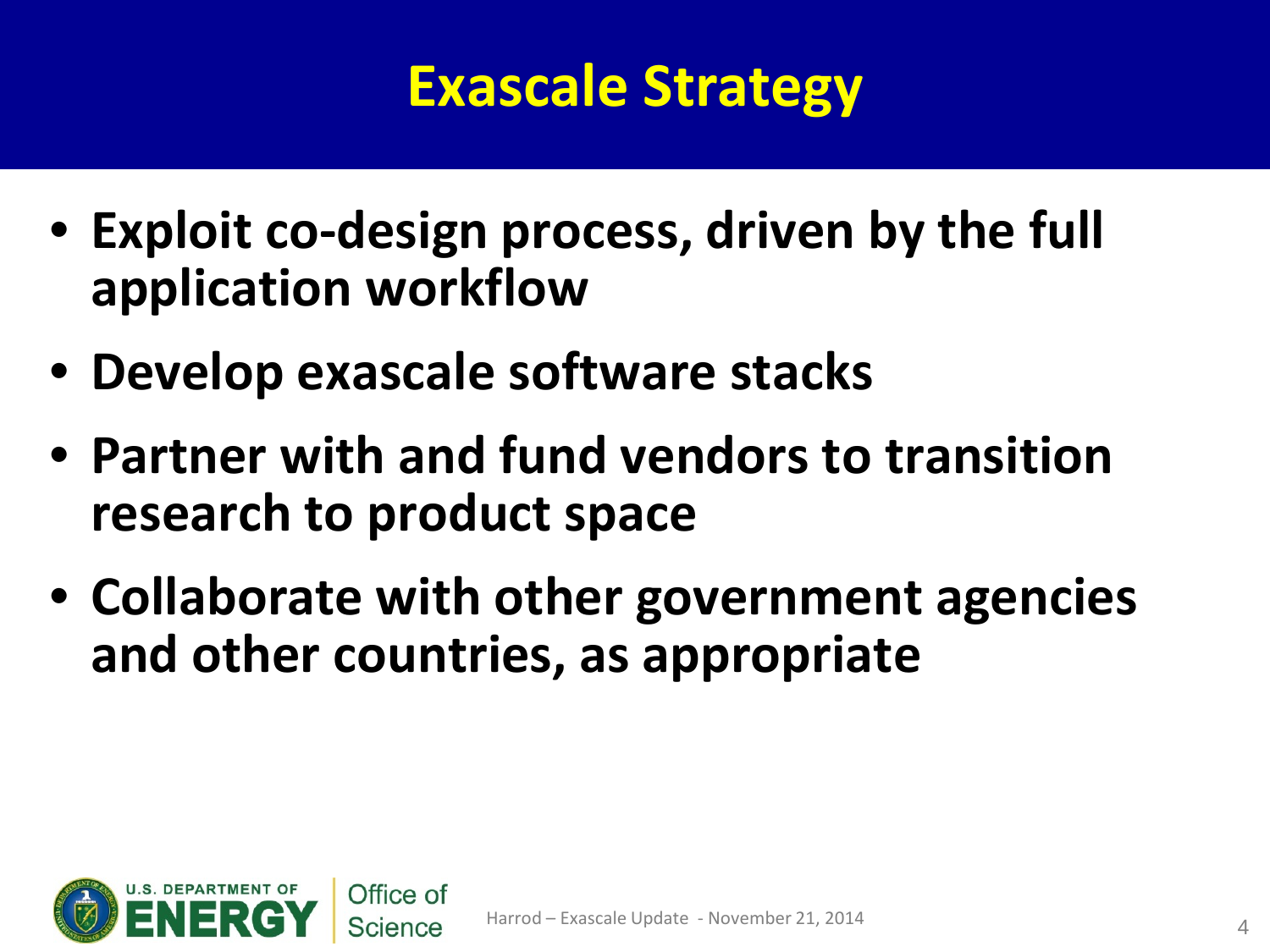# **Exascale Strategy**

- **Exploit co-design process, driven by the full application workflow**
- **Develop exascale software stacks**
- **Partner with and fund vendors to transition research to product space**
- **Collaborate with other government agencies and other countries, as appropriate**

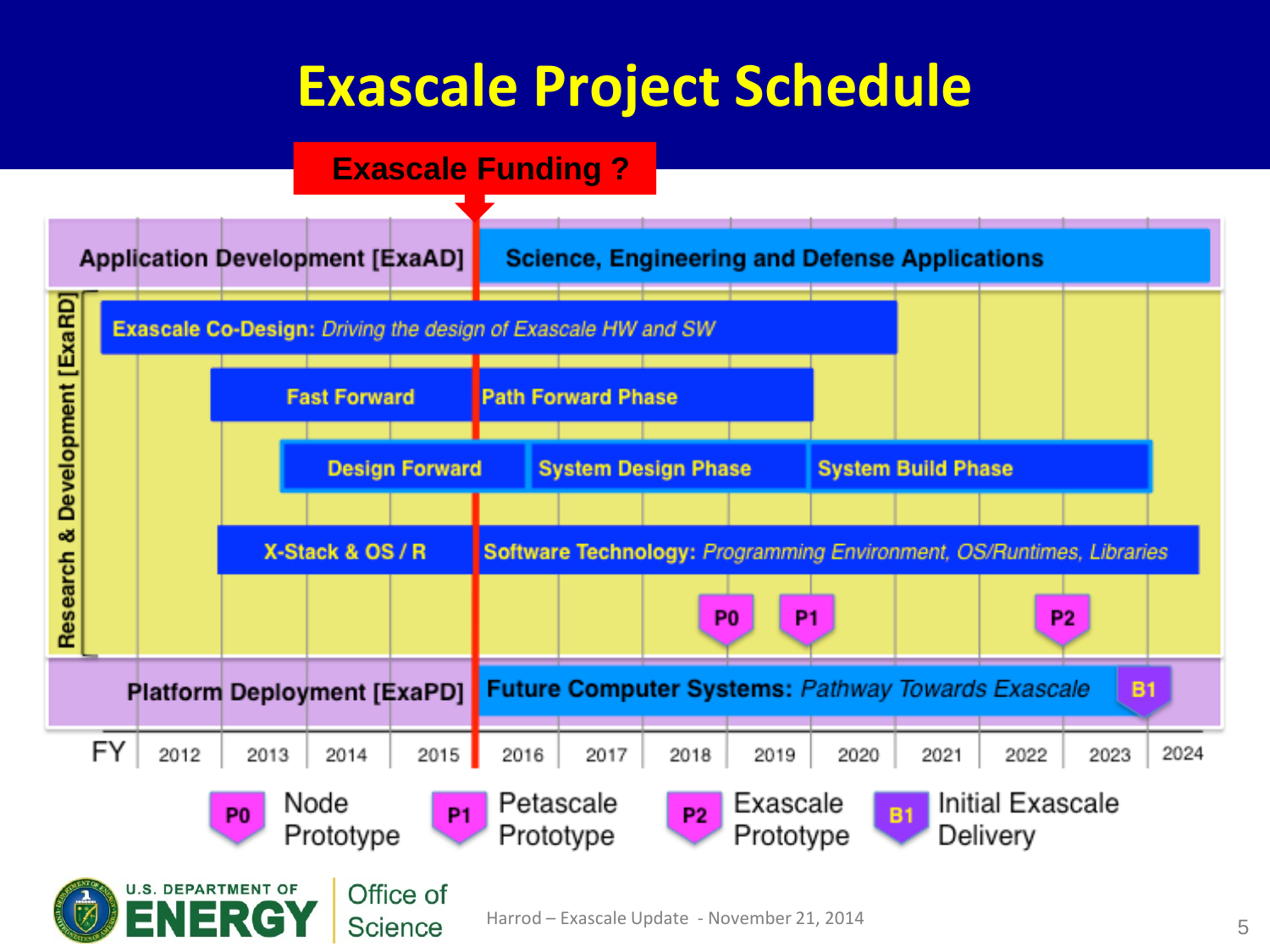## **Exascale Project Schedule**



**Science**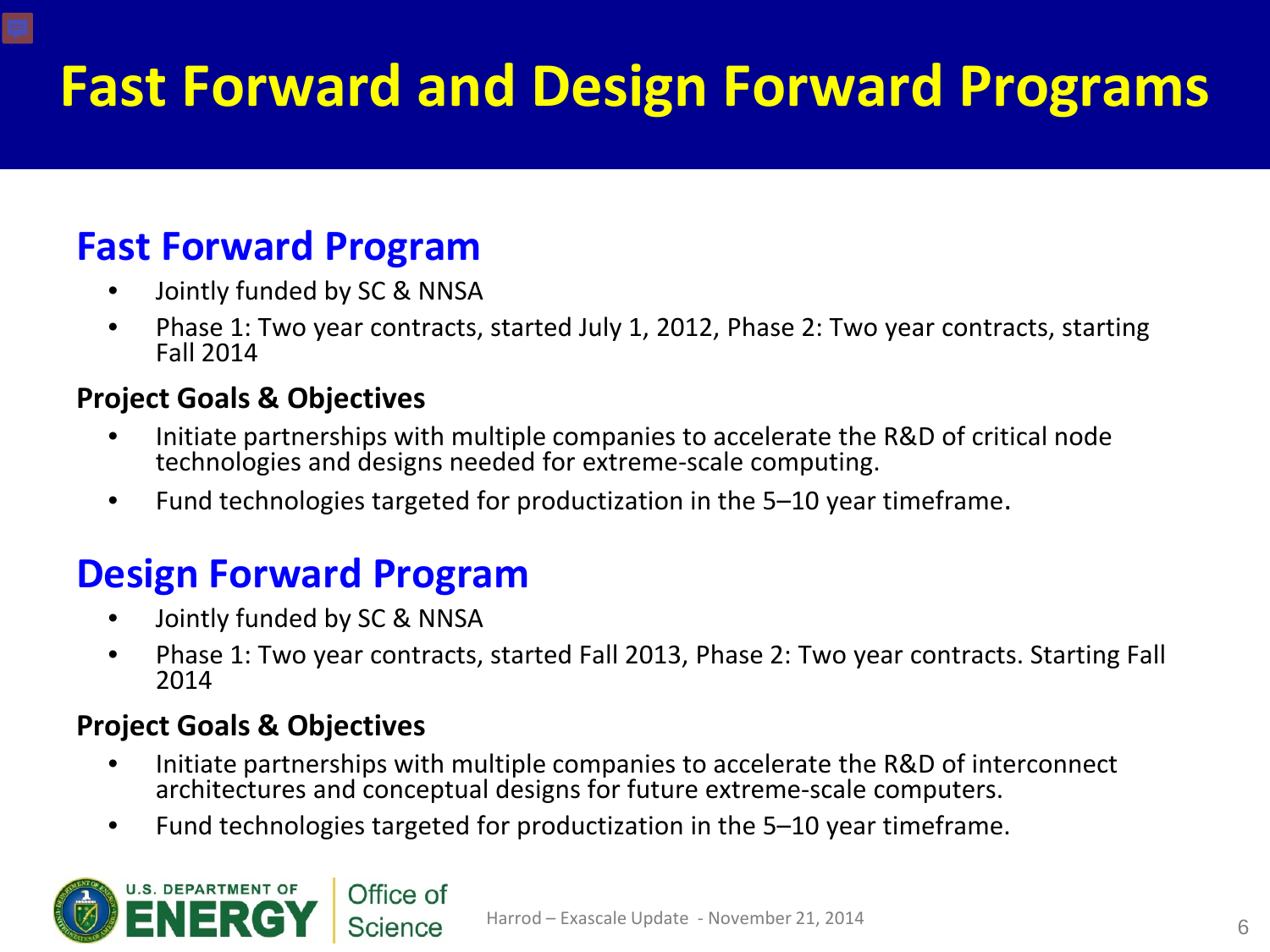# **Fast Forward and Design Forward Programs**

### **Fast Forward Program**

- Jointly funded by SC & NNSA
- Phase 1: Two year contracts, started July 1, 2012, Phase 2: Two year contracts, starting Fall 2014

#### **Project Goals & Objectives**

- Initiate partnerships with multiple companies to accelerate the R&D of critical node technologies and designs needed for extreme-scale computing.
- Fund technologies targeted for productization in the 5–10 year timeframe.

### **Design Forward Program**

- Jointly funded by SC & NNSA
- Phase 1: Two year contracts, started Fall 2013, Phase 2: Two year contracts. Starting Fall 2014

#### **Project Goals & Objectives**

- Initiate partnerships with multiple companies to accelerate the R&D of interconnect architectures and conceptual designs for future extreme-scale computers.
- Fund technologies targeted for productization in the 5–10 year timeframe.

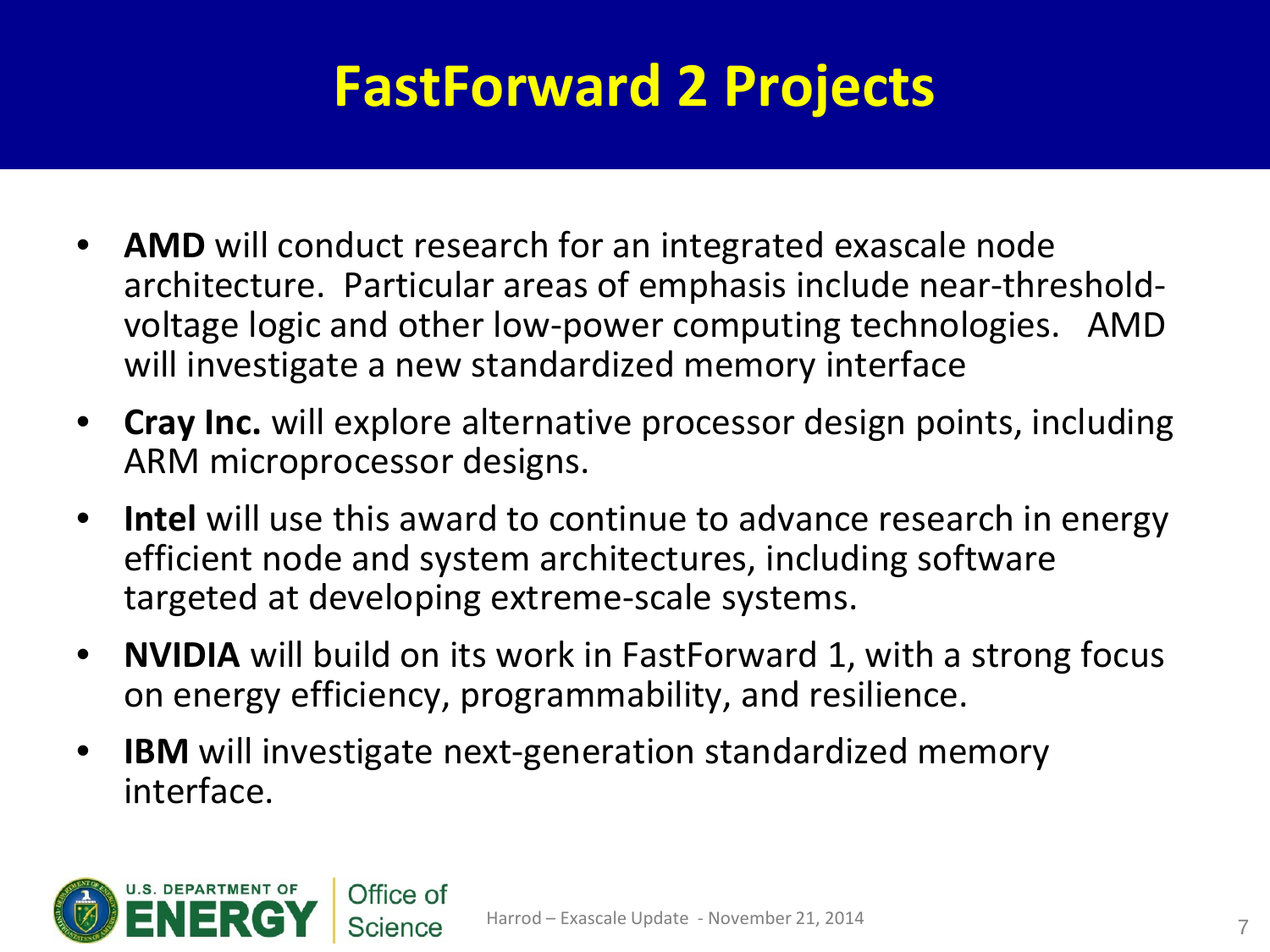# **FastForward 2 Projects**

- **AMD** will conduct research for an integrated exascale node architecture. Particular areas of emphasis include near-thresholdvoltage logic and other low-power computing technologies. AMD will investigate a new standardized memory interface
- **Cray Inc.** will explore alternative processor design points, including ARM microprocessor designs.
- **Intel** will use this award to continue to advance research in energy efficient node and system architectures, including software targeted at developing extreme-scale systems.
- **NVIDIA** will build on its work in FastForward 1, with a strong focus on energy efficiency, programmability, and resilience.
- **IBM** will investigate next-generation standardized memory interface.

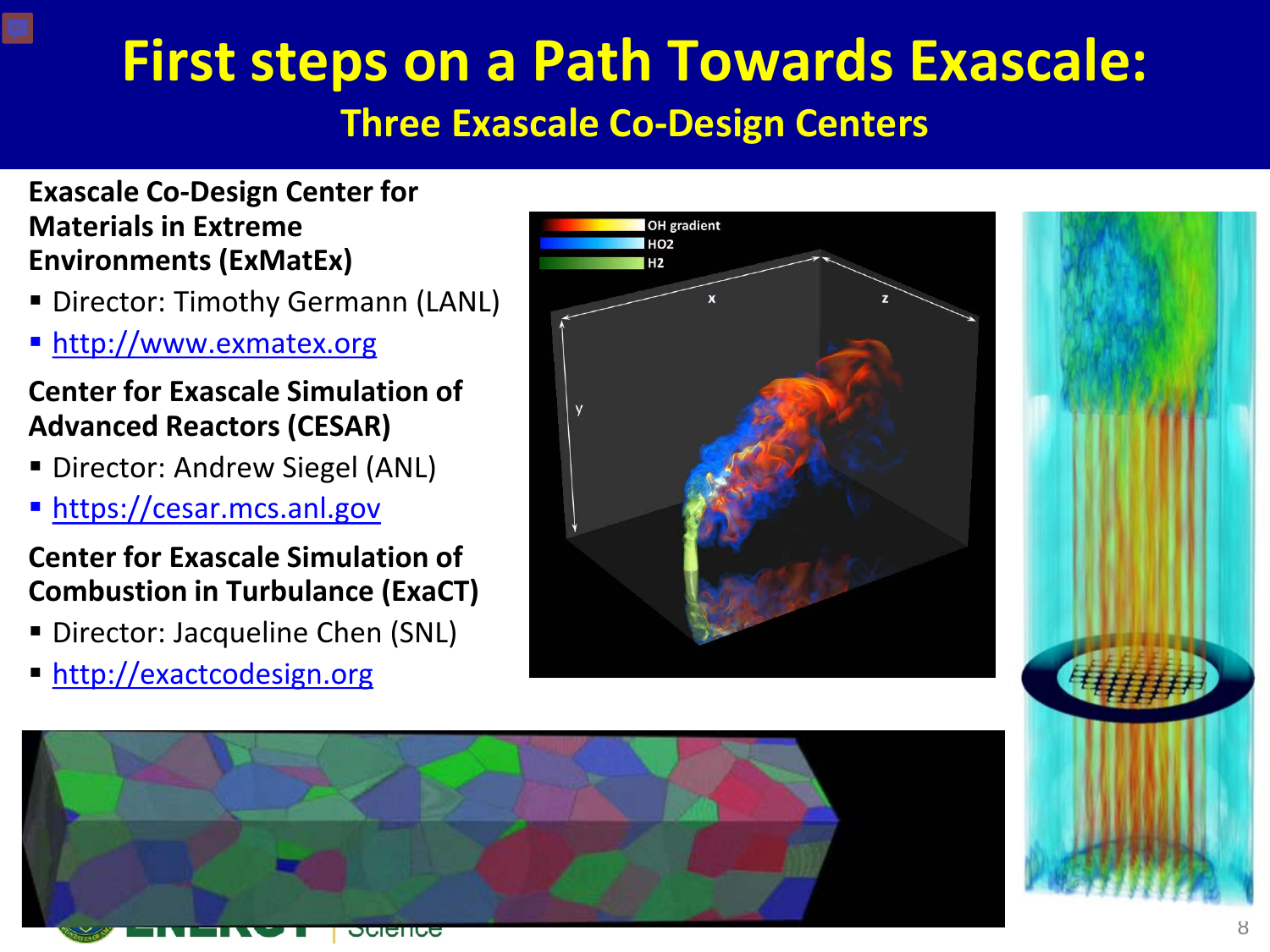# **First steps on a Path Towards Exascale:**

#### **Three Exascale Co-Design Centers**

#### **Exascale Co-Design Center for Materials in Extreme Environments (ExMatEx)**

- **Director: Timothy Germann (LANL)**
- **[http://www.exmatex.org](http://exmatex.lanl.gov/)**

#### **Center for Exascale Simulation of Advanced Reactors (CESAR)**

- **Director: Andrew Siegel (ANL)**
- **https://cesar.mcs.anl.gov**

#### **Center for Exascale Simulation of Combustion in Turbulance (ExaCT)**

- **Director: Jacqueline Chen (SNL)**
- http://exactcodesign.org





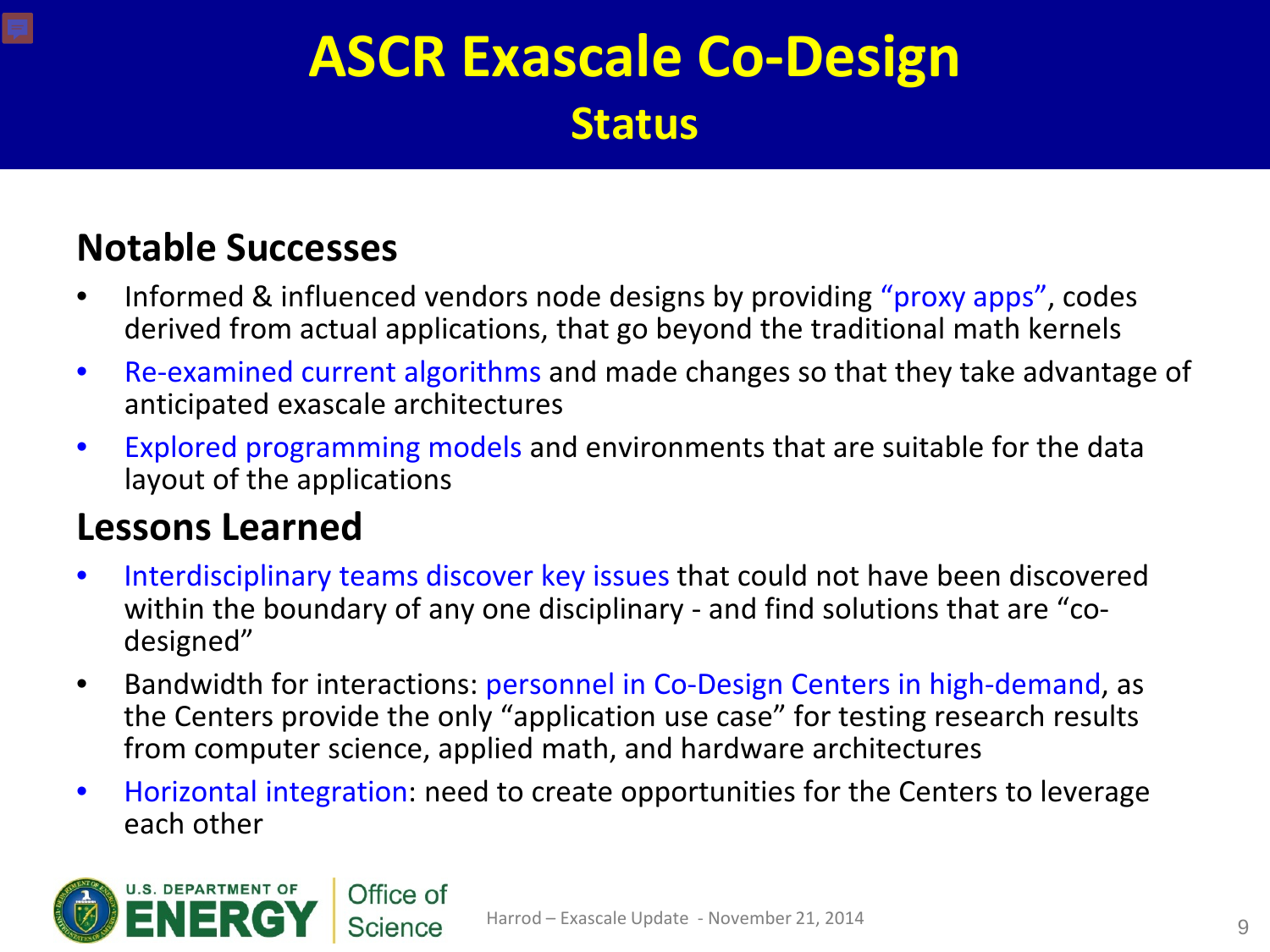## **ASCR Exascale Co-Design Status**

### **Notable Successes**

- Informed & influenced vendors node designs by providing "proxy apps", codes derived from actual applications, that go beyond the traditional math kernels
- Re-examined current algorithms and made changes so that they take advantage of anticipated exascale architectures
- Explored programming models and environments that are suitable for the data layout of the applications

#### **Lessons Learned**

- Interdisciplinary teams discover key issues that could not have been discovered within the boundary of any one disciplinary - and find solutions that are "codesigned"
- Bandwidth for interactions: personnel in Co-Design Centers in high-demand, as the Centers provide the only "application use case" for testing research results from computer science, applied math, and hardware architectures
- Horizontal integration: need to create opportunities for the Centers to leverage each other

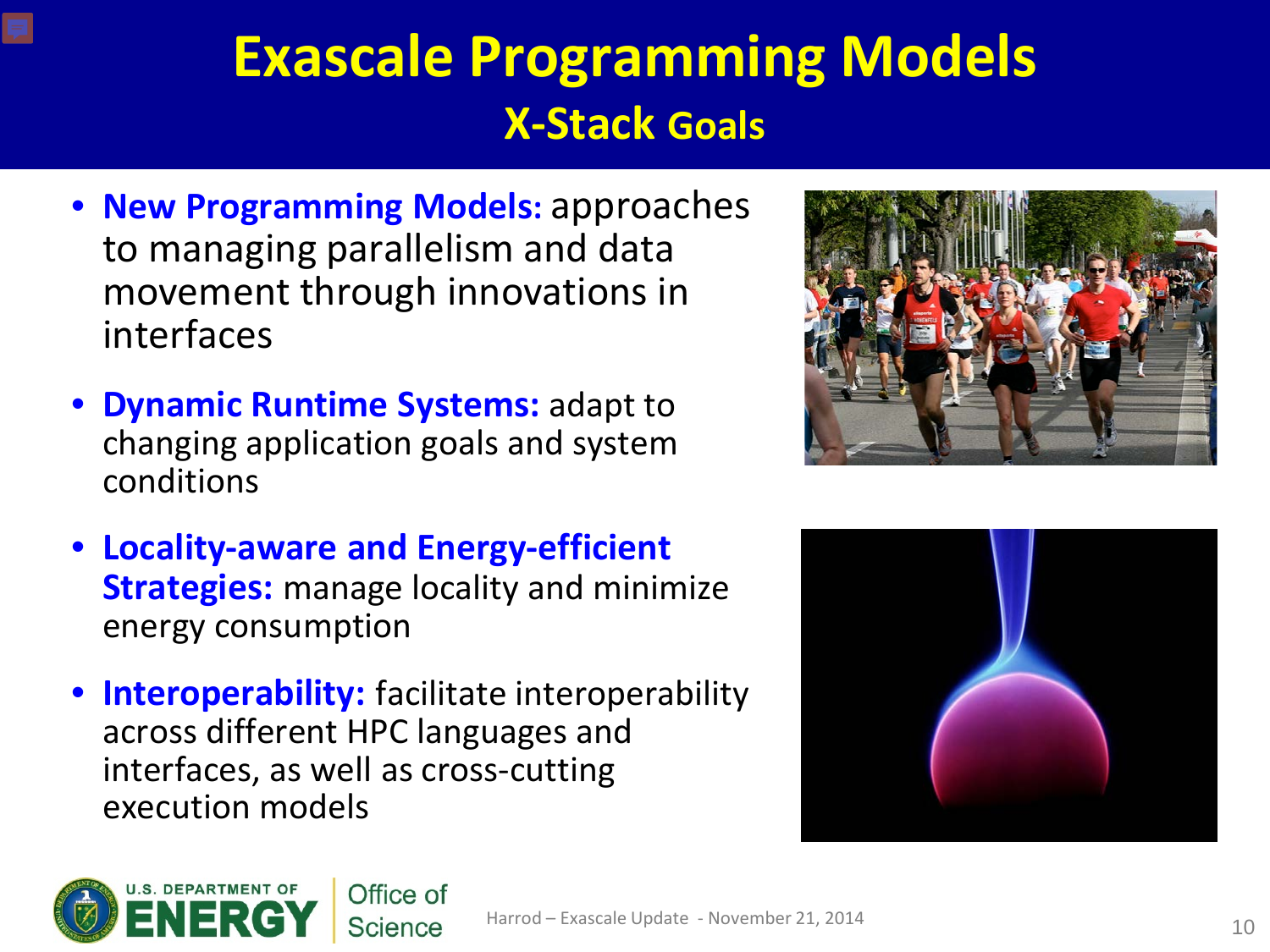## **Exascale Programming Models X-Stack Goals**

- **New Programming Models:** approaches to managing parallelism and data movement through innovations in interfaces
- **Dynamic Runtime Systems:** adapt to changing application goals and system conditions
- **Locality-aware and Energy-efficient Strategies:** manage locality and minimize energy consumption
- **Interoperability:** facilitate interoperability across different HPC languages and interfaces, as well as cross-cutting execution models





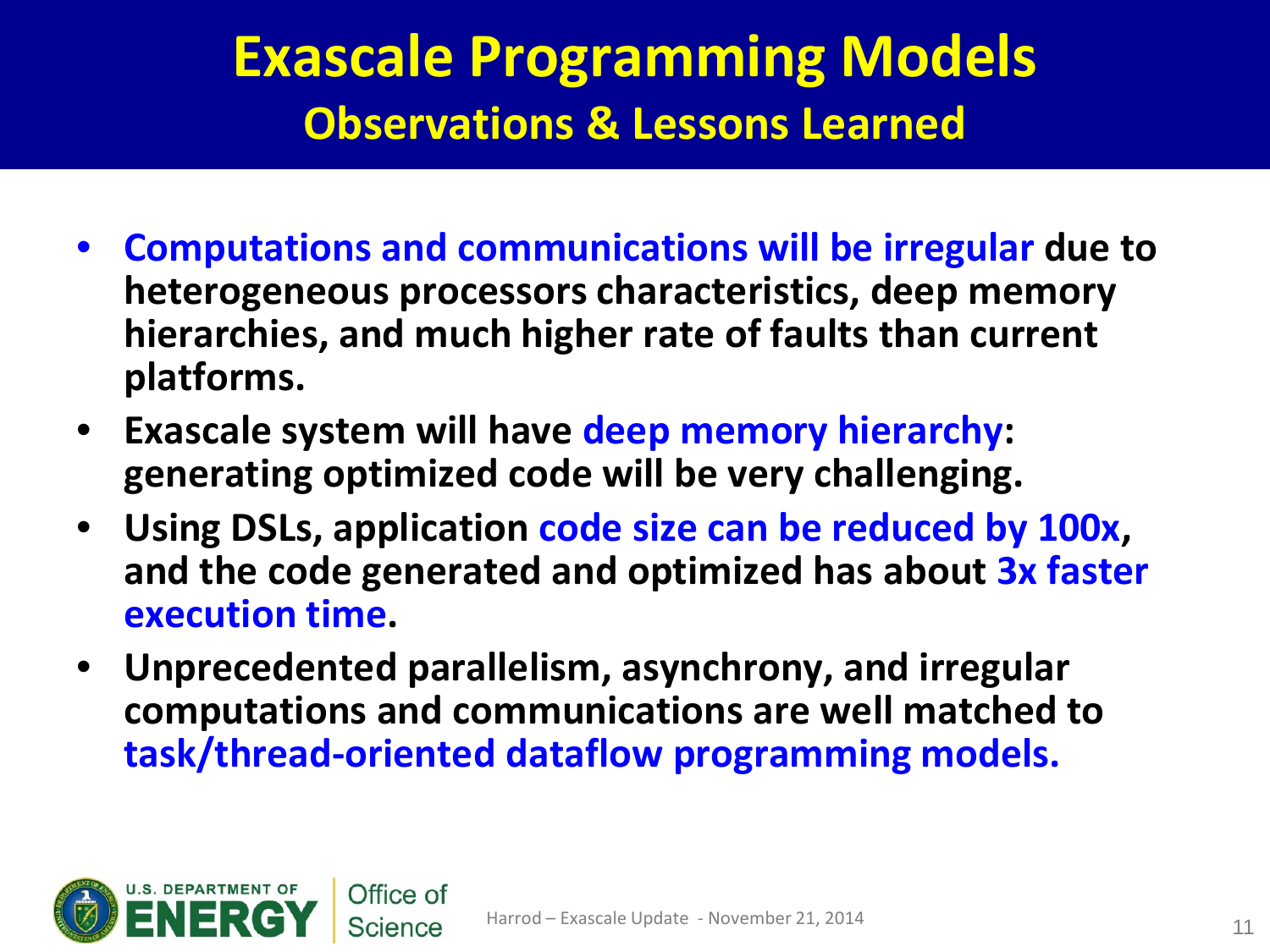## **Exascale Programming Models Observations & Lessons Learned**

- **Computations and communications will be irregular due to heterogeneous processors characteristics, deep memory hierarchies, and much higher rate of faults than current platforms.**
- **Exascale system will have deep memory hierarchy: generating optimized code will be very challenging.**
- **Using DSLs, application code size can be reduced by 100x, and the code generated and optimized has about 3x faster execution time.**
- **Unprecedented parallelism, asynchrony, and irregular computations and communications are well matched to task/thread-oriented dataflow programming models.**

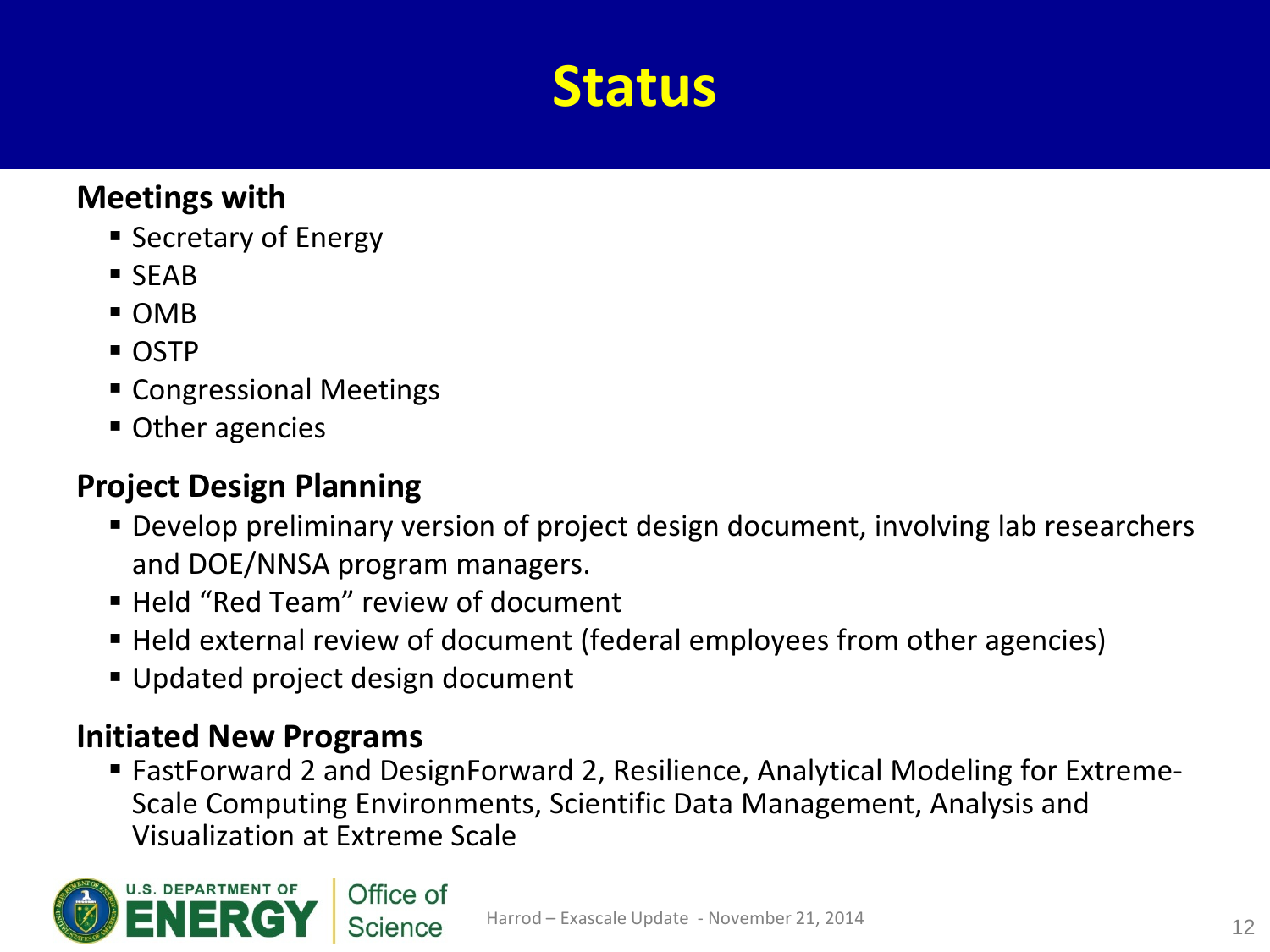## **Status**

#### **Meetings with**

- **Secretary of Energy**
- SEAB
- OMB
- OSTP
- Congressional Meetings
- Other agencies

#### **Project Design Planning**

- Develop preliminary version of project design document, involving lab researchers and DOE/NNSA program managers.
- Held "Red Team" review of document
- Held external review of document (federal employees from other agencies)
- Updated project design document

#### **Initiated New Programs**

 FastForward 2 and DesignForward 2, Resilience, Analytical Modeling for Extreme-Scale Computing Environments, Scientific Data Management, Analysis and Visualization at Extreme Scale

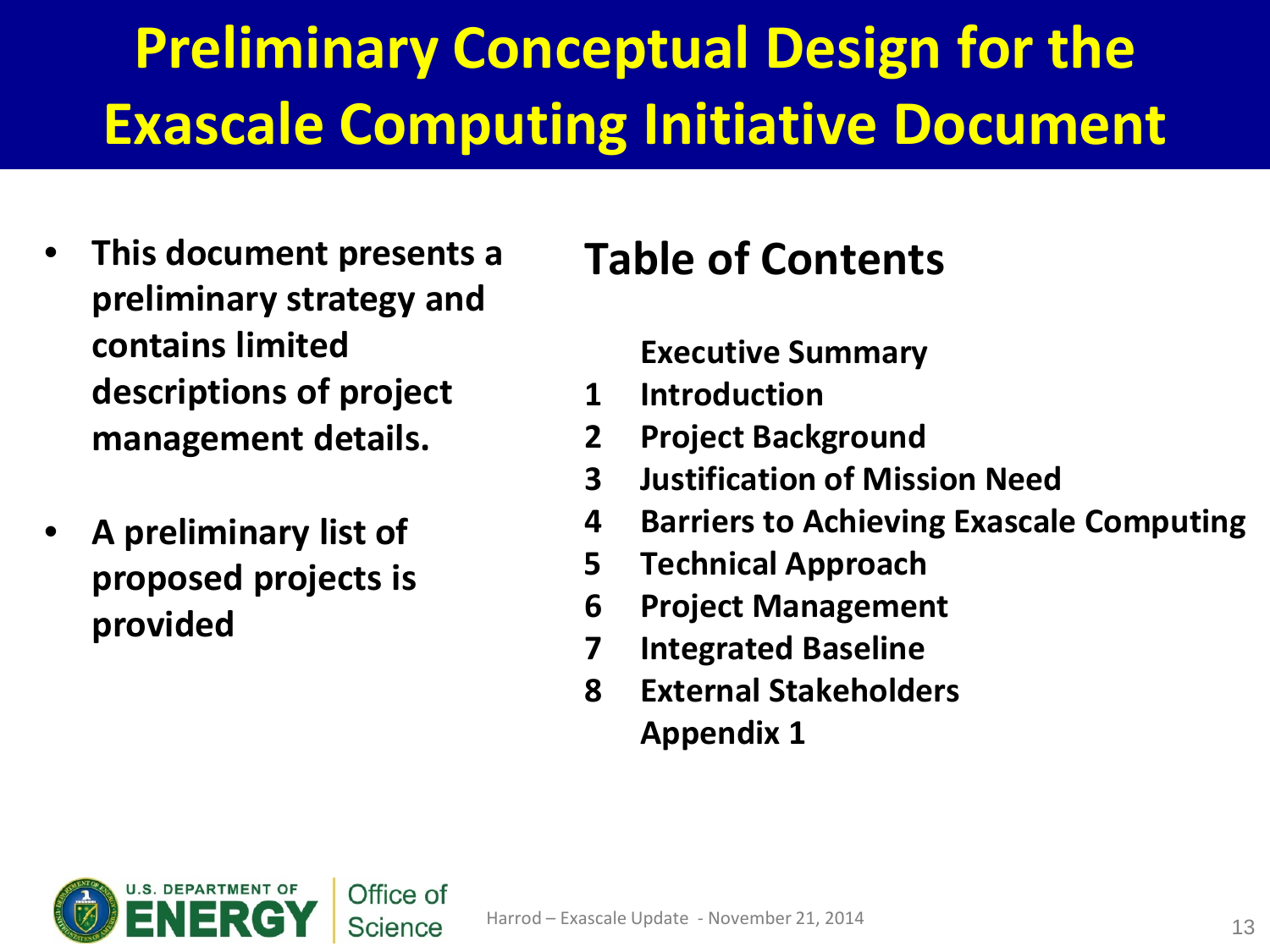# **Preliminary Conceptual Design for the Exascale Computing Initiative Document**

- **This document presents a preliminary strategy and contains limited descriptions of project management details.**
- **A preliminary list of proposed projects is provided**

## **Table of Contents**

**Executive Summary**

- **1 Introduction**
- **2 Project Background**
- **3 Justification of Mission Need**
- **4 Barriers to Achieving Exascale Computing**
- **5 Technical Approach**
- **6 Project Management**
- **7 Integrated Baseline**
- **8 External Stakeholders Appendix 1**

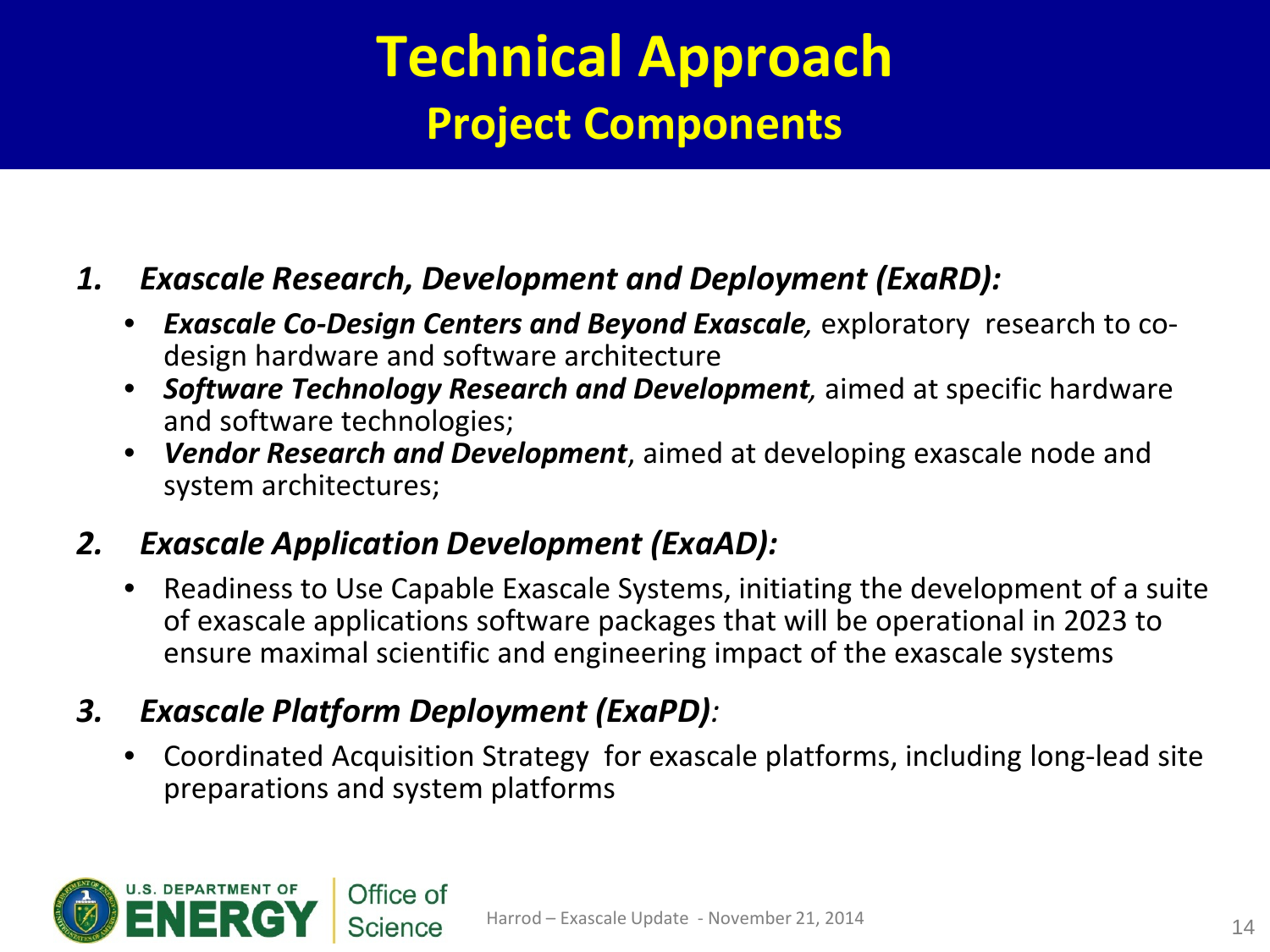## **Technical Approach Project Components**

#### *1. Exascale Research, Development and Deployment (ExaRD):*

- *Exascale Co-Design Centers and Beyond Exascale,* exploratory research to codesign hardware and software architecture
- *Software Technology Research and Development,* aimed at specific hardware and software technologies;
- *Vendor Research and Development*, aimed at developing exascale node and system architectures;

#### *2. Exascale Application Development (ExaAD):*

• Readiness to Use Capable Exascale Systems, initiating the development of a suite of exascale applications software packages that will be operational in 2023 to ensure maximal scientific and engineering impact of the exascale systems

#### *3. Exascale Platform Deployment (ExaPD):*

• Coordinated Acquisition Strategy for exascale platforms, including long-lead site preparations and system platforms

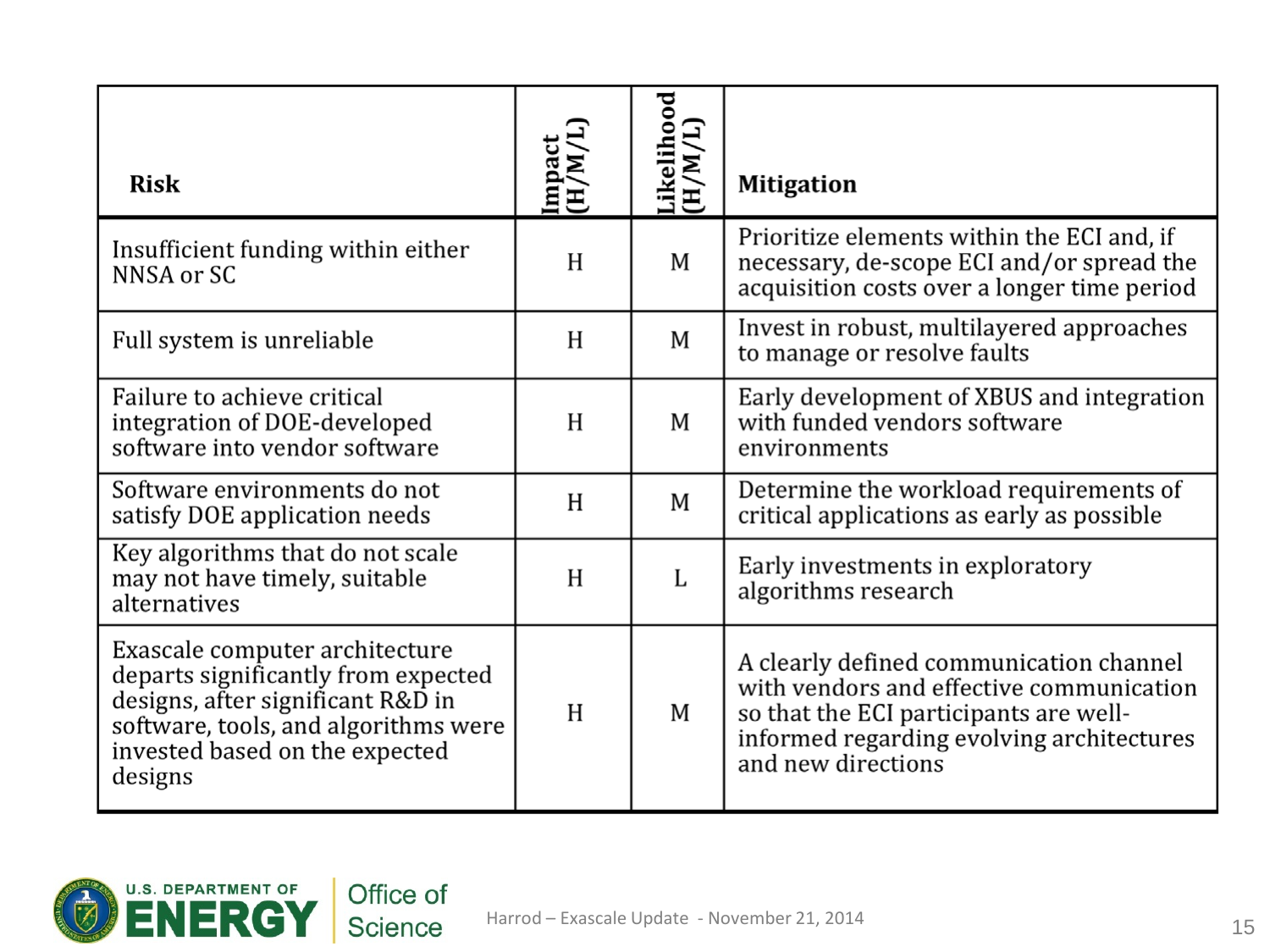| <b>Risk</b>                                                                                                                                                                                     | Impact<br>(H/M/L) | Likelihood<br>(H/M/L) | <b>Mitigation</b>                                                                                                                                                                                |
|-------------------------------------------------------------------------------------------------------------------------------------------------------------------------------------------------|-------------------|-----------------------|--------------------------------------------------------------------------------------------------------------------------------------------------------------------------------------------------|
| Insufficient funding within either<br>NNSA or SC                                                                                                                                                | H                 | M                     | Prioritize elements within the ECI and, if<br>necessary, de-scope ECI and/or spread the<br>acquisition costs over a longer time period                                                           |
| Full system is unreliable                                                                                                                                                                       | H                 | M                     | Invest in robust, multilayered approaches<br>to manage or resolve faults                                                                                                                         |
| Failure to achieve critical<br>integration of DOE-developed<br>software into vendor software                                                                                                    | H                 | M                     | Early development of XBUS and integration<br>with funded vendors software<br>environments                                                                                                        |
| Software environments do not<br>satisfy DOE application needs                                                                                                                                   | H                 | M                     | Determine the workload requirements of<br>critical applications as early as possible                                                                                                             |
| Key algorithms that do not scale<br>may not have timely, suitable<br>alternatives                                                                                                               | H                 | L                     | Early investments in exploratory<br>algorithms research                                                                                                                                          |
| Exascale computer architecture<br>departs significantly from expected<br>designs, after significant R&D in<br>software, tools, and algorithms were<br>invested based on the expected<br>designs | H                 | M                     | A clearly defined communication channel<br>with vendors and effective communication<br>so that the ECI participants are well-<br>informed regarding evolving architectures<br>and new directions |

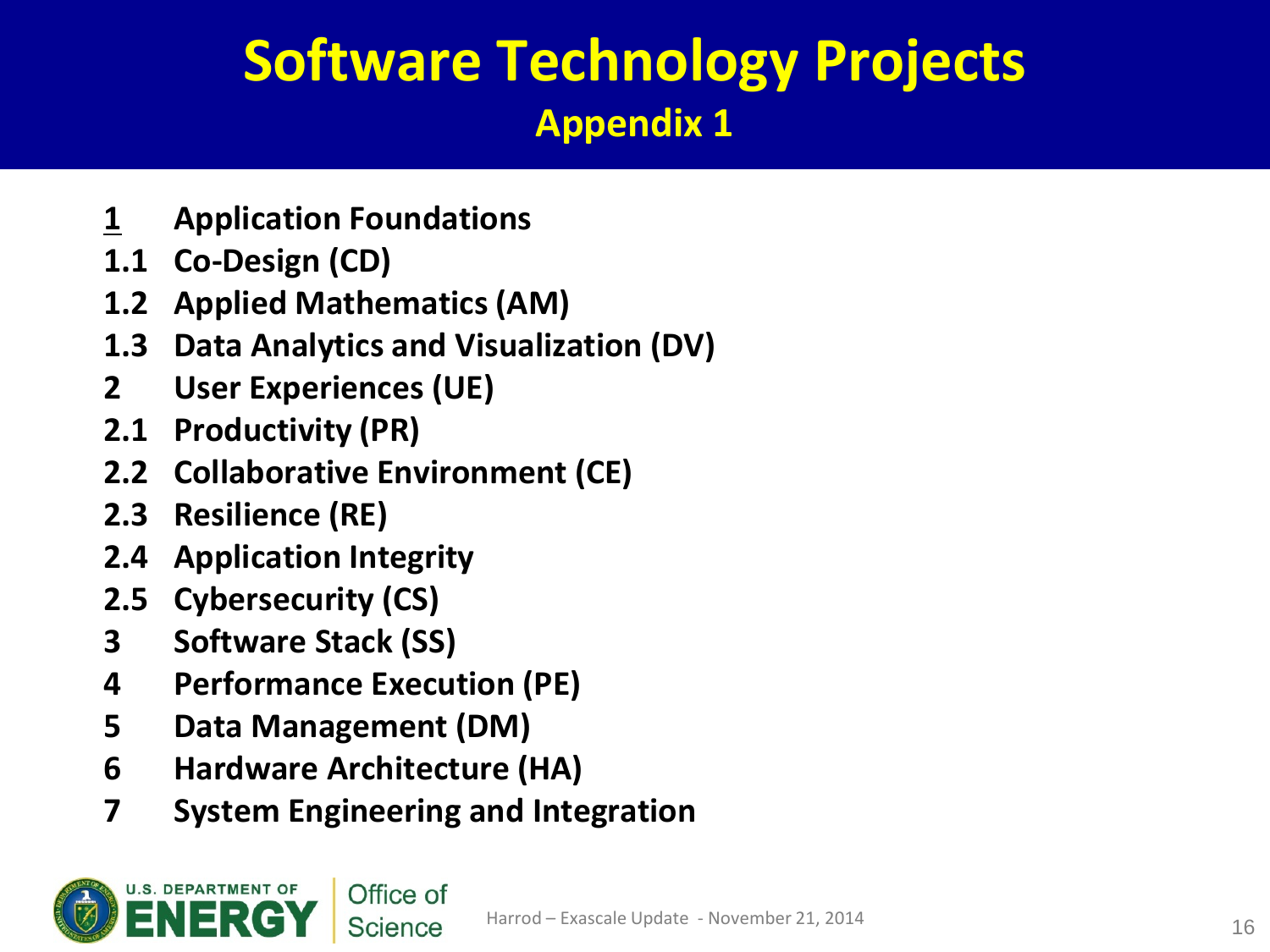## **Software Technology Projects Appendix 1**

- **1 Application Foundations**
- **1.1 Co-Design (CD)**
- **1.2 Applied Mathematics (AM)**
- **1.3 Data Analytics and Visualization (DV)**
- **2 User Experiences (UE)**
- **2.1 Productivity (PR)**
- **2.2 Collaborative Environment (CE)**
- **2.3 Resilience (RE)**
- **2.4 Application Integrity**
- **2.5 Cybersecurity (CS)**
- **3 Software Stack (SS)**
- **4 Performance Execution (PE)**
- **5 Data Management (DM)**
- **6 Hardware Architecture (HA)**
- **7 System Engineering and Integration**

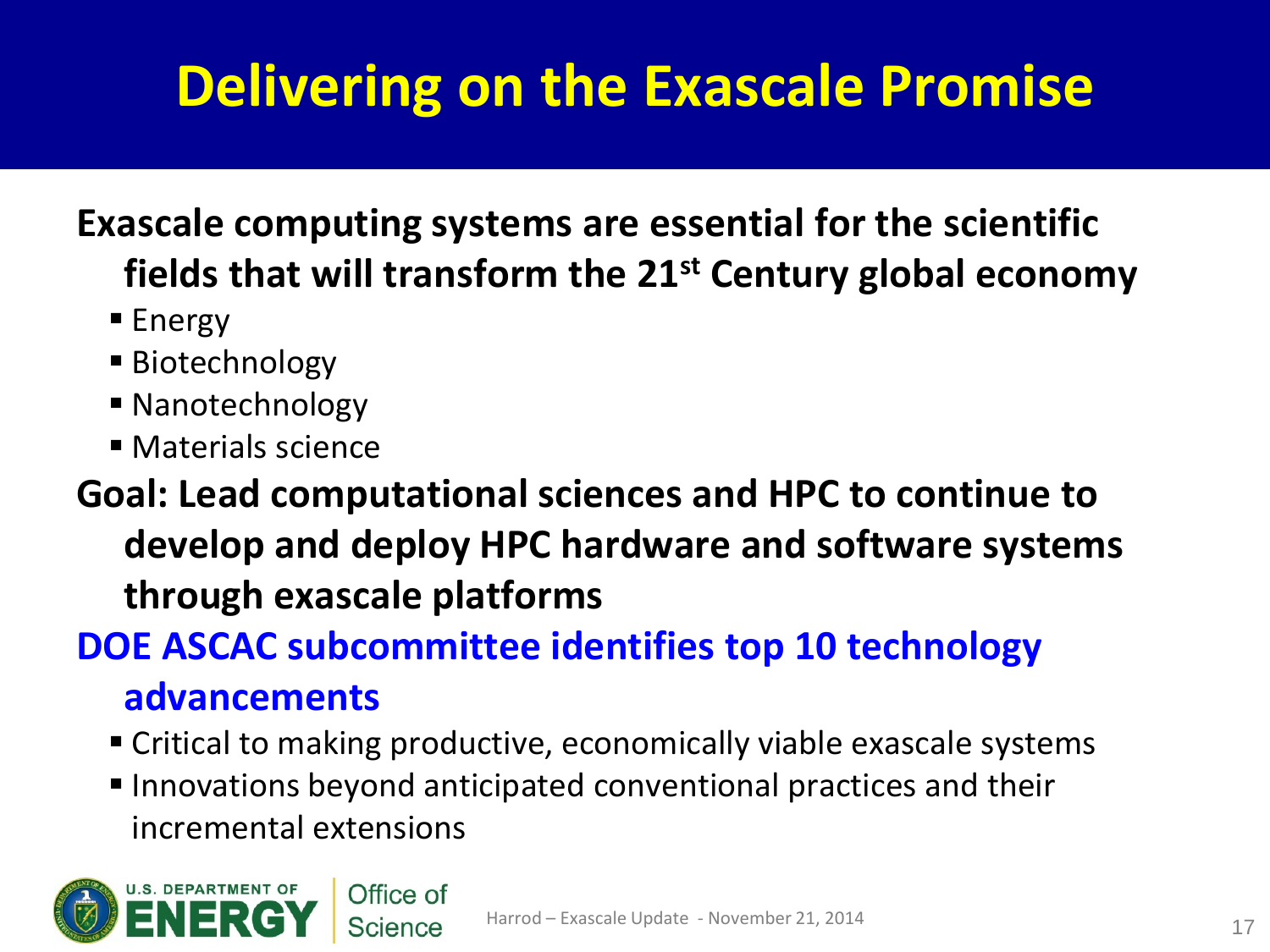# **Delivering on the Exascale Promise**

### **Exascale computing systems are essential for the scientific fields that will transform the 21st Century global economy**

- $\blacksquare$  Energy
- Biotechnology
- Nanotechnology
- **Materials science**

### **Goal: Lead computational sciences and HPC to continue to develop and deploy HPC hardware and software systems through exascale platforms**

### **DOE ASCAC subcommittee identifies top 10 technology advancements**

- Critical to making productive, economically viable exascale systems
- Innovations beyond anticipated conventional practices and their incremental extensions